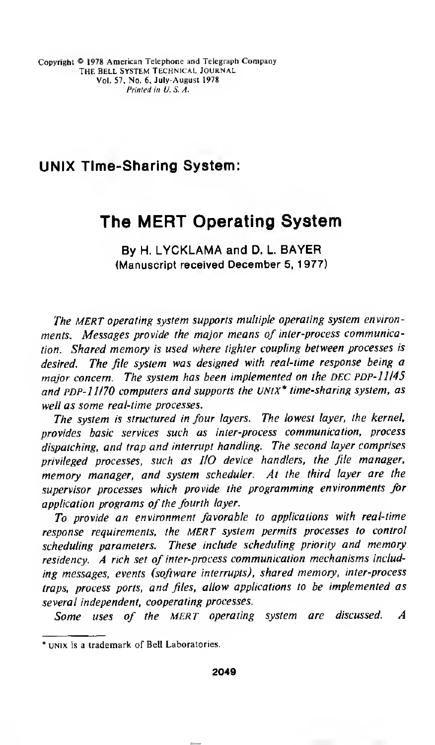# UNIX Time-Sharing System:

# The MERT Operating System

By H. LYCKLAMA and D. L. BAYER (Manuscript received December 5, 1977)

The MERT operating system supports multiple operating system environments. Messages provide the major means of inter-process communication. Shared memory is used where tighter coupling between processes is desired. The file system was designed with real-time response being a major concern. The system has been implemented on the DEC PDP-11145 and PDP- $11/70$  computers and supports the UNtX\* time-sharing system, as well as some real-time processes.

The system is structured in four layers. The lowest layer, the kernel, provides basic services such as inter-process communication, process dispatching, and trap and interrupt handling. The second layer comprises privileged processes, such as I/O device handlers, the file manager, memory manager, and system scheduler. At the third layer are the supervisor processes which provide the programming environments for application programs of the fourth layer.

To provide an environment favorable to applications with real-time response requirements, the MERT system permits processes to control scheduling parameters. These include scheduling priority and memory residency. A rich set of inter-process communication mechanisms including messages, events (software interrupts), shared memory, inter-process traps, process ports, and files, allow applications to be implemented as several independent, cooperating processes.

Some uses of the MERT operating system are discussed. A

<sup>\*</sup> unix is a trademark of Bell Laboratories.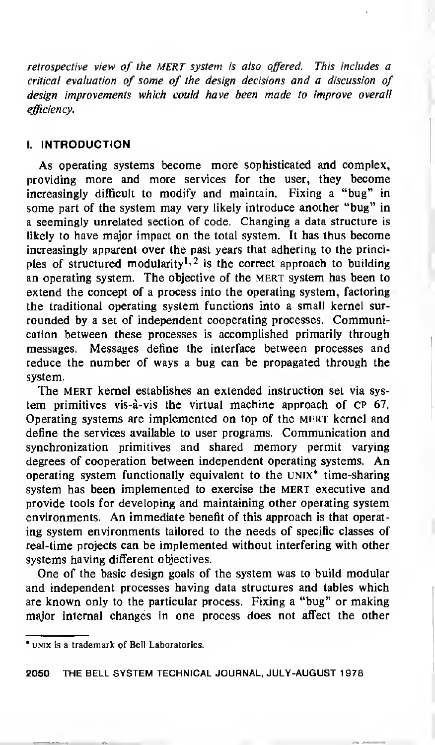retrospective view of the MERT system is also offered. This includes a critical evaluation of some of the design decisions and a discussion of design improvements which could have been made to improve overall efficiency.

# I. INTRODUCTION

As operating systems become more sophisticated and complex, providing more and more services for the user, they become increasingly difficult to modify and maintain. Fixing a "bug" in some part of the system may very likely introduce another "bug" in a seemingly unrelated section of code. Changing a data structure is likely to have major impact on the total system. It has thus become increasingly apparent over the past years that adhering to the principles of structured modularity<sup>1, 2</sup> is the correct approach to building an operating system. The objective of the MERT system has been to extend the concept of a process into the operating system, factoring the traditional operating system functions into a small kernel surrounded by a set of independent cooperating processes. Communication between these processes is accomplished primarily through messages. Messages define the interface between processes and reduce the number of ways a bug can be propagated through the system.

The MERT kernel establishes an extended instruction set via system primitives vis-a-vis the virtual machine approach of cp 67. Operating systems are implemented on top of the MERT kernel and define the services available to user programs. Communication and synchronization primitives and shared memory permit varying degrees of cooperation between independent operating systems. An operating system functionally equivalent to the UNIX\* time-sharing system has been implemented to exercise the MERT executive and provide tools for developing and maintaining other operating system environments. An immediate benefit of this approach is that operating system environments tailored to the needs of specific classes of real-time projects can be implemented without interfering with other systems having different objectives.

One of the basic design goals of the system was to build modular and independent processes having data structures and tables which are known only to the particular process. Fixing a "bug" or making major internal changes in one process does not affect the other

<sup>\*</sup> unix is a trademark of Bell Laboratories.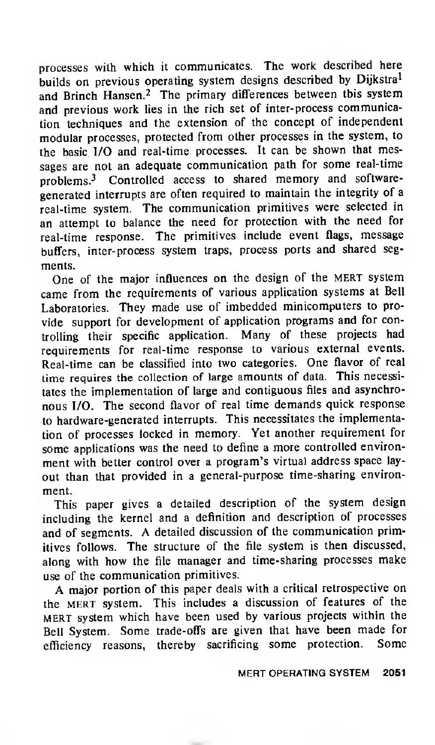processes with which it communicates. The work described here builds on previous operating system designs described by Dijkstra<sup>1</sup> and Brinch Hansen.<sup>2</sup> The primary differences between this system and previous work lies in the rich set of inter-process communication techniques and the extension of the concept of independent modular processes, protected from other processes in the system, to the basic I/O and real-time processes. It can be shown that messages are not an adequate communication path for some real-time problems.<sup>3</sup> Controlled access to shared memory and softwaregenerated interrupts are often required to maintain the integrity of a real-time system. The communication primitives were selected in an attempt to balance the need for protection with the need for real-time response. The primitives include event flags, message buffers, inter-process system traps, process ports and shared segments.

One of the major influences on the design of the MERT system came from the requirements of various application systems at Bell Laboratories. They made use of imbedded minicomputers to provide support for development of application programs and for controlling their specific application. Many of these projects had requirements for real-time response to various external events. Real-time can be classified into two categories. One flavor of real time requires the collection of large amounts of data. This necessitates the implementation of large and contiguous files and asynchronous I/O. The second flavor of real time demands quick response to hardware-generated interrupts. This necessitates the implementation of processes locked in memory. Yet another requirement for some applications was the need to define <sup>a</sup> more controlled environment with better control over a program's virtual address space layout than that provided in <sup>a</sup> general-purpose time-sharing environment.

This paper gives a detailed description of the system design including the kernel and <sup>a</sup> definition and description of processes and of segments. A detailed discussion of the communication primitives follows. The structure of the file system is then discussed, along with how the file manager and time-sharing processes make use of the communication primitives.

A major portion of this paper deals with <sup>a</sup> critical retrospective on the mert system. This includes <sup>a</sup> discussion of features of the mert system which have been used by various projects within the Bell System. Some trade-offs are given that have been made for efficiency reasons, thereby sacrificing some protection. Some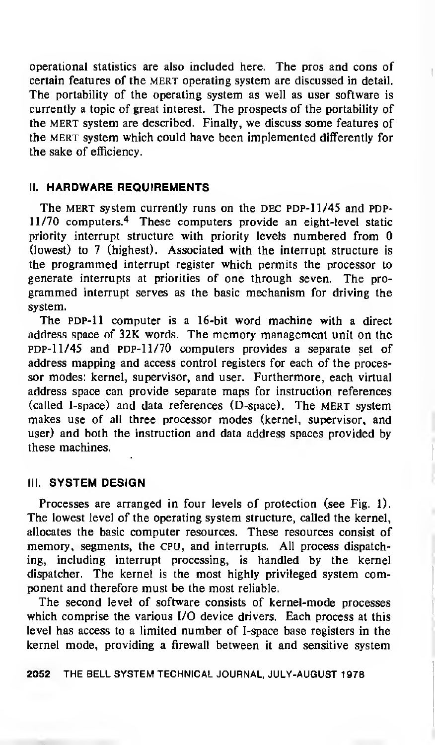operational statistics are also included here. The pros and cons of certain features of the MERT operating system are discussed in detail. The portability of the operating system as well as user software is currently a topic of great interest. The prospects of the portability of the mert system are described. Finally, we discuss some features of the mert system which could have been implemented differently for the sake of efficiency.

# II. HARDWARE REQUIREMENTS

The MERT system currently runs on the DEC PDP-11/45 and PDP-11/70 computers.<sup>4</sup> These computers provide an eight-level static priority interrupt structure with priority levels numbered from 0 (lowest) to 7 (highest). Associated with the interrupt structure is the programmed interrupt register which permits the processor to generate interrupts at priorities of one through seven. The pro grammed interrupt serves as the basic mechanism for driving the system.

The PDP-11 computer is a 16-bit word machine with a direct address space of 32K words. The memory management unit on the pDP-11/45 and PDP-11/70 computers provides a separate set of address mapping and access control registers for each of the processor modes: kernel, supervisor, and user. Furthermore, each virtual address space can provide separate maps for instruction references (called I-space) and data references (D-space). The MERT system makes use of all three processor modes (kernel, supervisor, and user) and both the instruction and data address spaces provided by these machines.

#### III. SYSTEM DESIGN

Processes are arranged in four levels of protection (see Fig. 1). The lowest level of the operating system structure, called the kernel, allocates the basic computer resources. These resources consist of memory, segments, the CPU, and interrupts. All process dispatching, including interrupt processing, is handled by the kernel dispatcher. The kernel is the most highly privileged system component and therefore must be the most reliable.

The second level of software consists of kernel-mode processes which comprise the various I/O device drivers. Each process at this level has access to a limited number of I-space base registers in the kernel mode, providing a firewall between it and sensitive system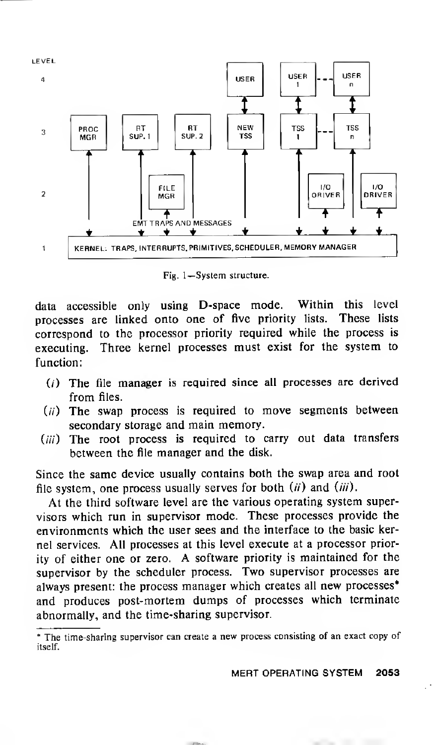

Fig. 1— System structure.

data accessible only using D-space mode. Within this level processes are linked onto one of five priority lists. These lists correspond to the processor priority required while the process is executing. Three kernel processes must exist for the system to function:

- $(i)$  The file manager is required since all processes are derived from files.
- $(ii)$  The swap process is required to move segments between secondary storage and main memory.
- (iii) The root process is required to carry out data transfers between the file manager and the disk.

Since the same device usually contains both the swap area and root file system, one process usually serves for both  $(ii)$  and  $(iii)$ .

At the third software level are the various operating system supervisors which run in supervisor mode. These processes provide the environments which the user sees and the interface to the basic kernel services. All processes at this level execute at a processor priority of either one or zero. A software priority is maintained for the supervisor by the scheduler process. Two supervisor processes are always present: the process manager which creates all new processes\* and produces post-mortem dumps of processes which terminate abnormally, and the time-sharing supervisor.

MERT OPERATING SYSTEM 2053

The time-sharing supervisor can create a new process consisting of an exact copy of itself.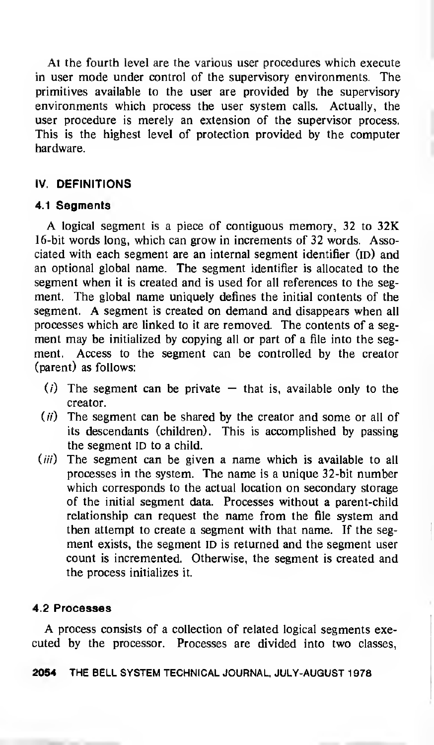At the fourth level are the various user procedures which execute in user mode under control of the supervisory environments. The primitives available to the user are provided by the supervisory environments which process the user system calls. Actually, the user procedure is merely an extension of the supervisor process. This is the highest level of protection provided by the computer hardware.

# IV. DEFINITIONS

# 4.1 Segments

A logical segment is <sup>a</sup> piece of contiguous memory, <sup>32</sup> to 32K 16-bit words long, which can grow in increments of 32 words. Associated with each segment are an internal segment identifier (ID) and an optional global name. The segment identifier is allocated to the segment when it is created and is used for all references to the segment. The global name uniquely defines the initial contents of the segment. A segment is created on demand and disappears when all processes which are linked to it are removed. The contents of a segment may be initialized by copying all or part of a file into the segment. Access to the segment can be controlled by the creator (parent) as follows:

- (i) The segment can be private  $-$  that is, available only to the creator.
- $(ii)$  The segment can be shared by the creator and some or all of its descendants (children). This is accomplished by passing the segment ID to a child.
- $(iii)$  The segment can be given a name which is available to all processes in the system. The name is <sup>a</sup> unique 32-bit number which corresponds to the actual location on secondary storage of the initial segment data. Processes without a parent-child relationship can request the name from the file system and then attempt to create a segment with that name. If the segment exists, the segment ID is returned and the segment user count is incremented. Otherwise, the segment is created and the process initializes it.

# 4.2 Processes

A process consists of <sup>a</sup> collection of related logical segments executed by the processor. Processes are divided into two classes,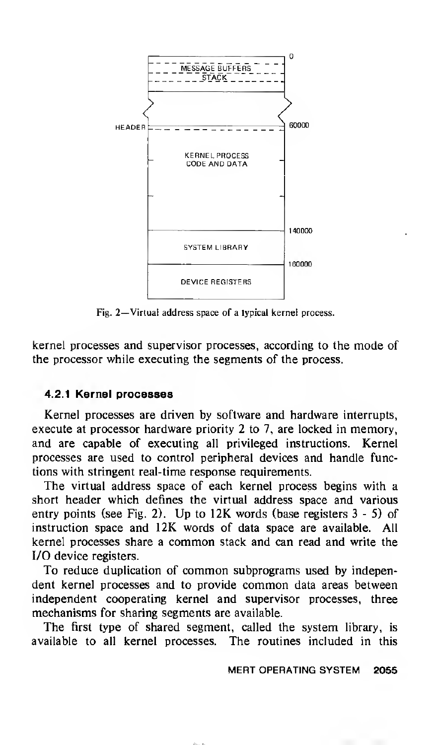

Fig. 2—Virtual address space of <sup>a</sup> typical kernel process.

kernel processes and supervisor processes, according to the mode of the processor while executing the segments of the process.

# 4.2.1 Kernel processes

Kernel processes are driven by software and hardware interrupts, execute at processor hardware priority 2 to 7, are locked in memory, and are capable of executing all privileged instructions. Kernel processes are used to control peripheral devices and handle functions with stringent real-time response requirements.

The virtual address space of each kernel process begins with a short header which defines the virtual address space and various entry points (see Fig. 2). Up to 12K words (base registers <sup>3</sup> - 5) of instruction space and 12K words of data space are available. All kernel processes share <sup>a</sup> common stack and can read and write the I/O device registers.

To reduce duplication of common subprograms used by independent kernel processes and to provide common data areas between independent cooperating kernel and supervisor processes, three mechanisms for sharing segments are available.

The first type of shared segment, called the system library, is available to all kernel processes. The routines included in this

# MERT OPERATING SYSTEM 2055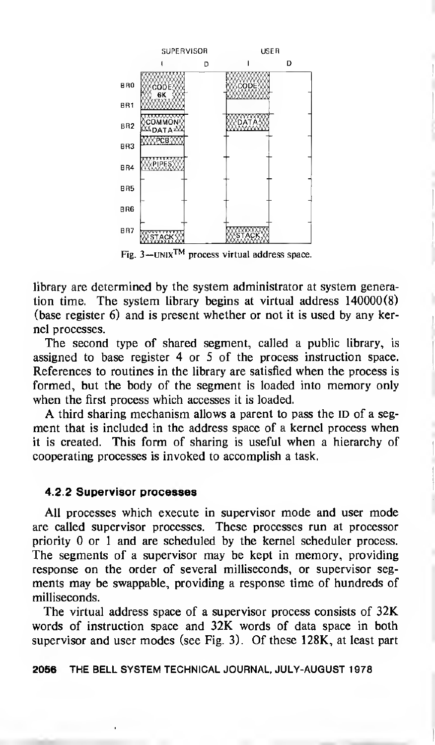

Fig.  $3 - UNIX<sup>TM</sup>$  process virtual address space.

library are determined by the system administrator at system generation time. The system library begins at virtual address 140000(8) (base register 6) and is present whether or not it is used by any kernel processes.

The second type of shared segment, called a public library, is assigned to base register 4 or 5 of the process instruction space. References to routines in the library are satisfied when the process is formed, but the body of the segment is loaded into memory only when the first process which accesses it is loaded.

A third sharing mechanism allows <sup>a</sup> parent to pass the ID of <sup>a</sup> segment that is included in the address space of a kernel process when it is created. This form of sharing is useful when a hierarchy of cooperating processes is invoked to accomplish a task.

#### 4.2.2 Supervisor processes

All processes which execute in supervisor mode and user mode are called supervisor processes. These processes run at processor priority 0 or 1 and are scheduled by the kernel scheduler process. The segments of a supervisor may be kept in memory, providing response on the order of several milliseconds, or supervisor segments may be swappable, providing a response time of hundreds of milliseconds.

The virtual address space of a supervisor process consists of 32K words of instruction space and 32K words of data space in both supervisor and user modes (see Fig. 3). Of these 128K, at least part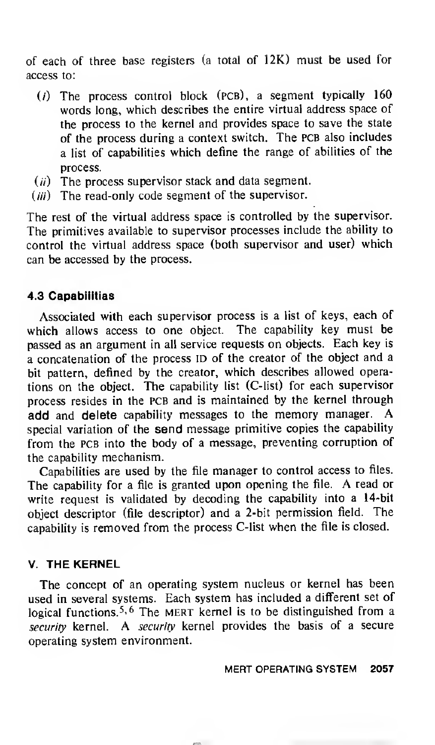of each of three base registers (a total of 12K) must be used for access to:

- $(i)$  The process control block (PCB), a segment typically 160 words long, which describes the entire virtual address space of the process to the kernel and provides space to save the state of the process during a context switch. The PCB also includes <sup>a</sup> list of capabilities which define the range of abilities of the process.
- $(ii)$  The process supervisor stack and data segment.
- $(iii)$  The read-only code segment of the supervisor.

The rest of the virtual address space is controlled by the supervisor. The primitives available to supervisor processes include the ability to control the virtual address space (both supervisor and user) which can be accessed by the process.

# 4.3 Capabilities

Associated with each supervisor process is a list of keys, each of which allows access to one object. The capability key must be passed as an argument in all service requests on objects. Each key is <sup>a</sup> concatenation of the process ID of the creator of the object and <sup>a</sup> bit pattern, defined by the creator, which describes allowed operations on the object. The capability list (C-list) for each supervisor process resides in the PCB and is maintained by the kernel through add and delete capability messages to the memory manager. special variation of the send message primitive copies the capability from the PCB into the body of a message, preventing corruption of the capability mechanism.

Capabilities are used by the file manager to control access to files. The capability for <sup>a</sup> file is granted upon opening the file. A read or write request is validated by decoding the capability into a 14-bit object descriptor (file descriptor) and <sup>a</sup> 2-bit permission field. The capability is removed from the process C-list when the file is closed.

# V. THE KERNEL

The concept of an operating system nucleus or kernel has been used in several systems. Each system has included <sup>a</sup> different set of logical functions.<sup>5, 6</sup> The MERT kernel is to be distinguished from a security kernel. A security kernel provides the basis of a secure operating system environment.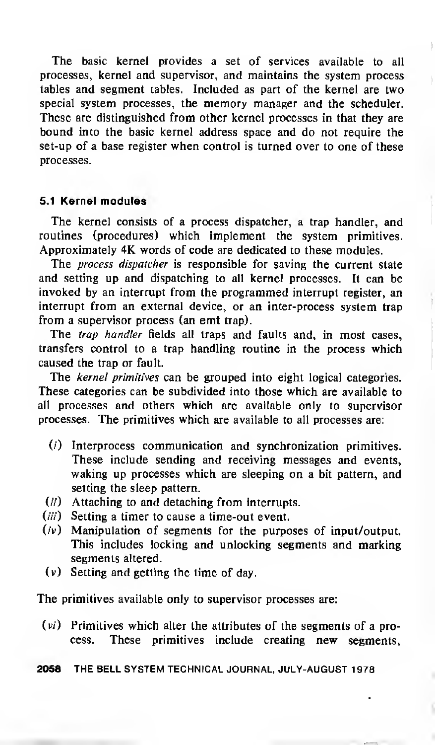The basic kernel provides a set of services available to all processes, kernel and supervisor, and maintains the system process tables and segment tables. Included as part of the kernel are two special system processes, the memory manager and the scheduler. These are distinguished from other kernel processes in that they are bound into the basic kernel address space and do not require the set-up of <sup>a</sup> base register when control is turned over to one of these processes.

## 5.1 Kernel modules

The kernel consists of <sup>a</sup> process dispatcher, <sup>a</sup> trap handler, and routines (procedures) which implement the system primitives. Approximately 4K words of code are dedicated to these modules.

The *process dispatcher* is responsible for saving the current state and setting up and dispatching to all kernel processes. It can be invoked by an interrupt from the programmed interrupt register, an interrupt from an external device, or an inter-process system trap from a supervisor process (an emt trap).

The *trap handler* fields all traps and faults and, in most cases, transfers control to a trap handling routine in the process which caused the trap or fault.

The *kernel primitives* can be grouped into eight logical categories. These categories can be subdivided into those which are available to all processes and others which are available only to supervisor processes. The primitives which are available to all processes are:

- (/') Interprocess communication and synchronization primitives. These include sending and receiving messages and events, waking up processes which are sleeping on a bit pattern, and setting the sleep pattern.
- (//) Attaching to and detaching from interrupts.
- (*iii*) Setting a timer to cause a time-out event.
- (iv) Manipulation of segments for the purposes of input/output. This includes locking and unlocking segments and marking segments altered,
- (v) Setting and getting the time of day.

The primitives available only to supervisor processes are:

 $(vi)$  Primitives which alter the attributes of the segments of a process. These primitives include creating new segments,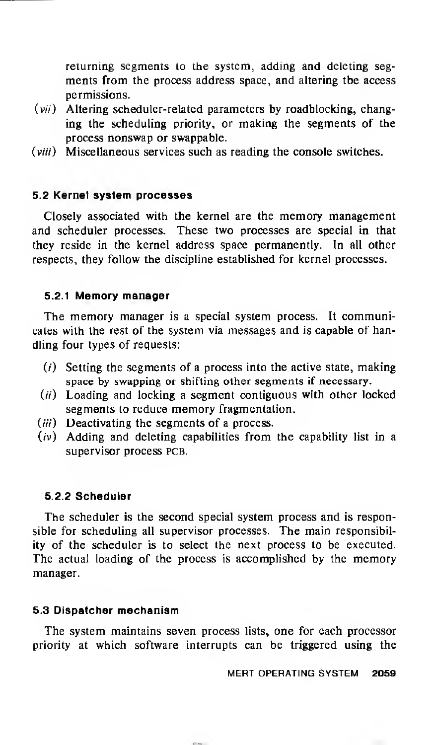returning segments to the system, adding and deleting segments from the process address space, and altering the access permissions.

- $(vii)$  Altering scheduler-related parameters by roadblocking, changing the scheduling priority, or making the segments of the process nonswap or swappable.
- (viii) Miscellaneous services such as reading the console switches.

# 5.2 Kernel system processes

Closely associated with the kernel are the memory management and scheduler processes. These two processes are special in that they reside in the kernel address space permanently. In all other respects, they follow the discipline established for kernel processes.

# 5.2.1 Memory manager

The memory manager is <sup>a</sup> special system process. It communicates with the rest of the system via messages and is capable of handling four types of requests:

- $(i)$  Setting the segments of a process into the active state, making space by swapping or shifting other segments if necessary.
- $(ii)$  Loading and locking a segment contiguous with other locked segments to reduce memory fragmentation.
- $(iii)$  Deactivating the segments of a process.
- $(v)$  Adding and deleting capabilities from the capability list in a supervisor process PCB.

## 5.2.2 Scheduler

The scheduler is the second special system process and is responsible for scheduling all supervisor processes. The main responsibility of the scheduler is to select the next process to be executed. The actual loading of the process is accomplished by the memory manager.

## 5.3 Dispatcher mechanism

The system maintains seven process lists, one for each processor priority at which software interrupts can be triggered using the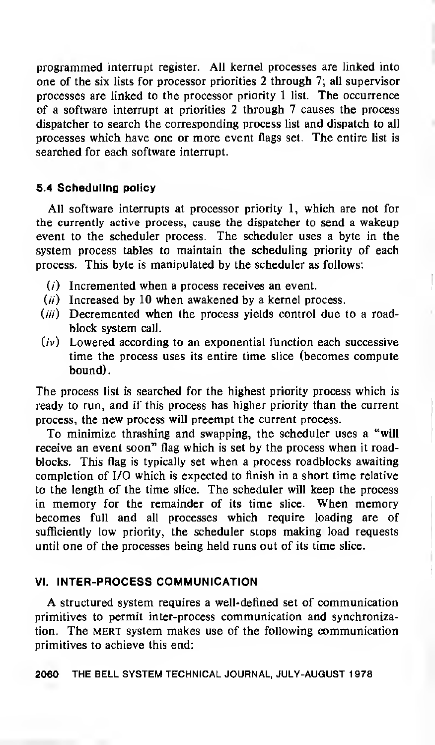programmed interrupt register. All kernel processes are linked into one of the six lists for processor priorities 2 through 7; all supervisor processes are linked to the processor priority <sup>1</sup> list. The occurrence of a software interrupt at priorities 2 through 7 causes the process dispatcher to search the corresponding process list and dispatch to all processes which have one or more event flags set. The entire list is searched for each software interrupt.

# 5.4 Scheduling policy

All software interrupts at processor priority 1, which are not for the currently active process, cause the dispatcher to send a wakeup event to the scheduler process. The scheduler uses a byte in the system process tables to maintain the scheduling priority of each process. This byte is manipulated by the scheduler as follows:

- $(i)$  Incremented when a process receives an event.
- $(ii)$  Increased by 10 when awakened by a kernel process.
- (iii) Decremented when the process yields control due to a roadblock system call.
- $(iv)$  Lowered according to an exponential function each successive time the process uses its entire time slice (becomes compute bound)

The process list is searched for the highest priority process which is ready to run, and if this process has higher priority than the current process, the new process will preempt the current process.

To minimize thrashing and swapping, the scheduler uses a "will receive an event soon" flag which is set by the process when it roadblocks. This flag is typically set when <sup>a</sup> process roadblocks awaiting completion of I/O which is expected to finish in a short time relative to the length of the time slice. The scheduler will keep the process in memory for the remainder of its time slice. When memory becomes full and all processes which require loading are of sufficiently low priority, the scheduler stops making load requests until one of the processes being held runs out of its time slice.

# VI. INTER-PROCESS COMMUNICATION

A structured system requires <sup>a</sup> well-defined set of communication primitives to permit inter-process communication and synchronization. The MERT system makes use of the following communication primitives to achieve this end: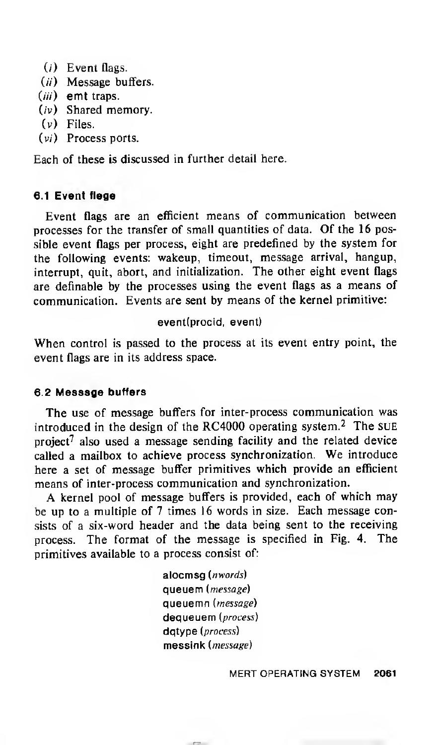- $(i)$  Event flags.
- (ii) Message buffers.
- (iii) emt traps.
- (iv) Shared memory.
- (v) Files.
- (v/) Process ports.

Each of these is discussed in further detail here.

# 6.1 Event flags

Event flags are an efficient means of communication between processes for the transfer of small quantities of data. Of the 16 possible event flags per process, eight are predefined by the system for the following events: wakeup, timeout, message arrival, hangup, interrupt, quit, abort, and initialization. The other eight event flags are definable by the processes using the event flags as <sup>a</sup> means of communication. Events are sent by means of the kernel primitive:

## event(procid, event)

When control is passed to the process at its event entry point, the event flags are in its address space.

## 6.2 Message buffers

The use of message buffers for inter-process communication was introduced in the design of the RC4000 operating system.<sup>2</sup> The SUE project<sup>7</sup> also used a message sending facility and the related device called <sup>a</sup> mailbox to achieve process synchronization. We introduce here a set of message buffer primitives which provide an efficient means of inter-process communication and synchronization.

A kernel pool of message buffers is provided, each of which may be up to <sup>a</sup> multiple of <sup>7</sup> times 16 words in size. Each message consists of a six-word header and the data being sent to the receiving process. The format of the message is specified in Fig. 4. The primitives available to a process consist of:

> alocmsg (nwords) queuem (message) queuemn (*message*) dequeuem (process) datype (process) messink (message)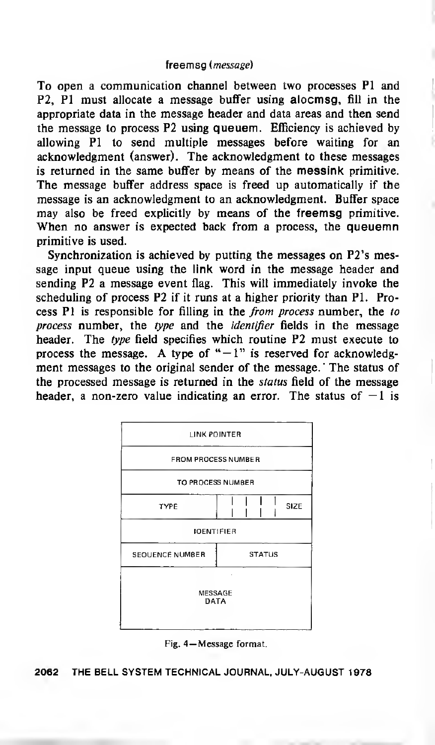#### freemsg {message)

To open a communication channel between two processes PI and P2, PI must allocate a message buffer using alocmsg, fill in the appropriate data in the message header and data areas and then send the message to process P2 using queuem. Efficiency is achieved by allowing PI to send multiple messages before waiting for an acknowledgment (answer). The acknowledgment to these messages is returned in the same buffer by means of the messink primitive. The message buffer address space is freed up automatically if the message is an acknowledgment to an acknowledgment. Buffer space may also be freed explicitly by means of the freemsg primitive. When no answer is expected back from a process, the queuemn primitive is used.

Synchronization is achieved by putting the messages on P2's message input queue using the link word in the message header and sending P2 a message event flag. This will immediately invoke the scheduling of process P2 if it runs at a higher priority than PI. Process PI is responsible for filling in the from process number, the to process number, the type and the identifier fields in the message header. The type field specifies which routine P2 must execute to process the message. A type of " $-1$ " is reserved for acknowledgment messages to the original sender of the message. The status of the processed message is returned in the *status* field of the message header, a non-zero value indicating an error. The status of  $-1$  is



Fig. 4— Message format.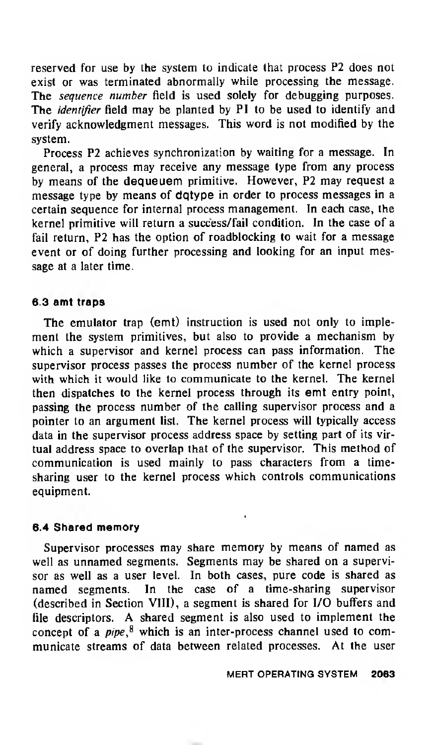reserved for use by the system to indicate that process P2 does not exist or was terminated abnormally while processing the message. The *sequence number* field is used solely for debugging purposes. The *identifier* field may be planted by PI to be used to identify and verify acknowledgment messages. This word is not modified by the system.

Process P2 achieves synchronization by waiting for a message. In general, <sup>a</sup> process may receive any message type from any process by means of the dequeuem primitive. However, P2 may request <sup>a</sup> message type by means of dqtype in order to process messages in a certain sequence for internal process management. In each case, the kernel primitive will return a success/fail condition. In the case of a fail return, P2 has the option of roadblocking to wait for a message event or of doing further processing and looking for an input message at a later time.

## 6.3 emt traps

The emulator trap (emt) instruction is used not only to implement the system primitives, but also to provide <sup>a</sup> mechanism by which <sup>a</sup> supervisor and kernel process can pass information. The supervisor process passes the process number of the kernel process with which it would like to communicate to the kernel. The kernel then dispatches to the kernel process through its emt entry point, passing the process number of the calling supervisor process and a pointer to an argument list. The kernel process will typically access data in the supervisor process address space by setting part of its virtual address space to overlap that of the supervisor. This method of communication is used mainly to pass characters from a timesharing user to the kernel process which controls communications equipment.

#### 6.4 Shared memory

Supervisor processes may share memory by means of named as well as unnamed segments. Segments may be shared on <sup>a</sup> supervisor as well as a user level. In both cases, pure code is shared as named segments. In the case of <sup>a</sup> time-sharing supervisor (described in Section VIII), a segment is shared for I/O buffers and file descriptors. A shared segment is also used to implement the concept of a  $pipe$ <sup>8</sup> which is an inter-process channel used to communicate streams of data between related processes. At the user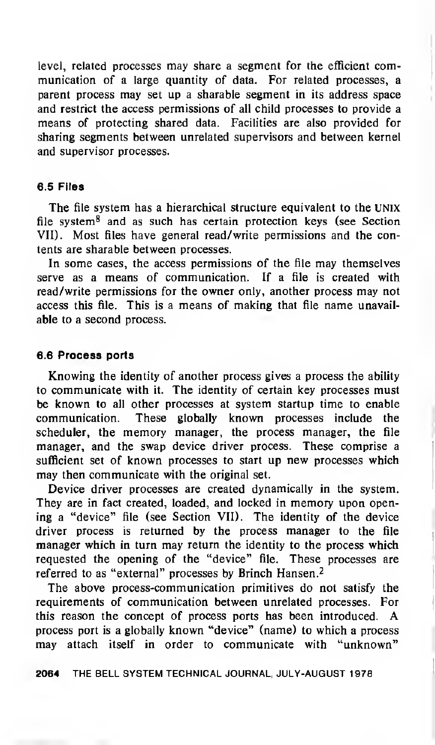level, related processes may share <sup>a</sup> segment for the efficient communication of a large quantity of data. For related processes, a parent process may set up <sup>a</sup> sharable segment in its address space and restrict the access permissions of all child processes to provide a means of protecting shared data. Facilities are also provided for sharing segments between unrelated supervisors and between kernel and supervisor processes.

#### 6.5 Files

The file system has a hierarchical structure equivalent to the UNIX file system $<sup>8</sup>$  and as such has certain protection keys (see Section</sup> VII). Most files have general read/write permissions and the contents are sharable between processes.

In some cases, the access permissions of the file may themselves serve as a means of communication. If a file is created with read/write permissions for the owner only, another process may not access this file. This is <sup>a</sup> means of making that file name unavailable to a second process.

## 6.6 Process ports

Knowing the identity of another process gives a process the ability to communicate with it. The identity of certain key processes must be known to all other processes at system startup time to enable communication. These globally known processes include the scheduler, the memory manager, the process manager, the file manager, and the swap device driver process. These comprise a sufficient set of known processes to start up new processes which may then communicate with the original set.

Device driver processes are created dynamically in the system. They are in fact created, loaded, and locked in memory upon opening a "device" file (see Section VII). The identity of the device driver process is returned by the process manager to the file manager which in turn may return the identity to the process which requested the opening of the "device" file. These processes are referred to as "external" processes by Brinch Hansen.<sup>2</sup>

The above process-communication primitives do not satisfy the requirements of communication between unrelated processes. For this reason the concept of process ports has been introduced. A process port is a globally known "device" (name) to which a process may attach itself in order to communicate with "unknown"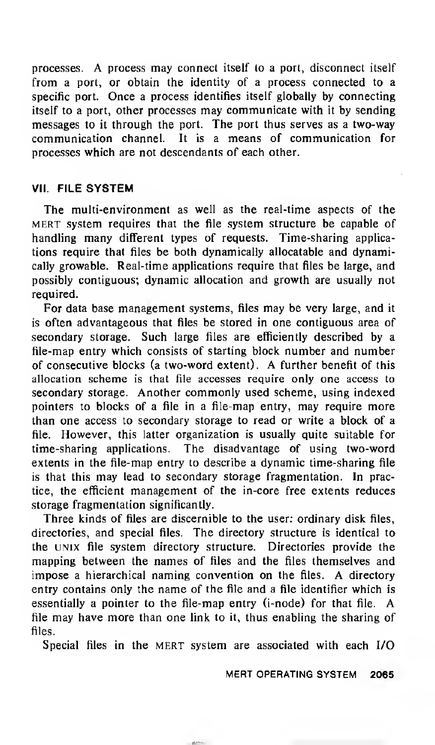processes. A process may connect itself to <sup>a</sup> port, disconnect itself from a port, or obtain the identity of a process connected to a specific port. Once a process identifies itself globally by connecting itself to a port, other processes may communicate with it by sending messages to it through the port. The port thus serves as a two-way communication channel. It is a means of communication for processes which are not descendants of each other.

# VII. FILE SYSTEM

The multi-environment as well as the real-time aspects of the mert system requires that the file system structure be capable of handling many different types of requests. Time-sharing applications require that files be both dynamically allocatable and dynamically growable. Real-time applications require that files be large, and possibly contiguous; dynamic allocation and growth are usually not required.

For data base management systems, files may be very large, and it is often advantageous that files be stored in one contiguous area of secondary storage. Such large files are efficiently described by a file-map entry which consists of starting block number and number of consecutive blocks (a two-word extent). A further benefit of this allocation scheme is that file accesses require only one access to secondary storage. Another commonly used scheme, using indexed pointers to blocks of <sup>a</sup> file in <sup>a</sup> file-map entry, may require more than one access to secondary storage to read or write a block of a file. However, this latter organization is usually quite suitable for time-sharing applications. The disadvantage of using two-word extents in the file-map entry to describe a dynamic time-sharing file is that this may lead to secondary storage fragmentation. In practice, the efficient management of the in-core free extents reduces storage fragmentation significantly.

Three kinds of files are discernible to the user: ordinary disk files, directories, and special files. The directory structure is identical to the UNIX file system directory structure. Directories provide the mapping between the names of files and the files themselves and impose <sup>a</sup> hierarchical naming convention on the files. A directory entry contains only the name of the file and a file identifier which is essentially <sup>a</sup> pointer to the file-map entry (i-node) for that file. A file may have more than one link to it, thus enabling the sharing of files.

Special files in the MERT system are associated with each I/O

MERT OPERATING SYSTEM 2065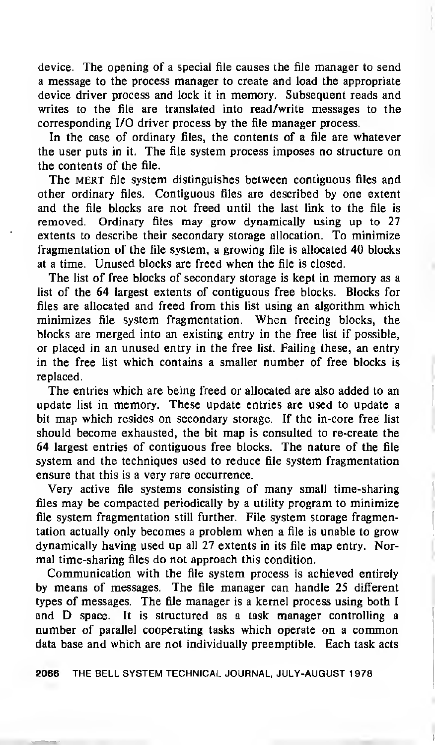device. The opening of <sup>a</sup> special file causes the file manager to send a message to the process manager to create and load the appropriate device driver process and lock it in memory. Subsequent reads and writes to the file are translated into read/write messages to the corresponding I/O driver process by the file manager process.

In the case of ordinary files, the contents of a file are whatever the user puts in it. The file system process imposes no structure on the contents of the file.

The MERT file system distinguishes between contiguous files and other ordinary files. Contiguous files are described by one extent and the file blocks are not freed until the last link to the file is removed. Ordinary files may grow dynamically using up to 27 extents to describe their secondary storage allocation. To minimize fragmentation of the file system, a growing file is allocated 40 blocks at a time. Unused blocks are freed when the file is closed.

The list of free blocks of secondary storage is kept in memory as <sup>a</sup> list of the 64 largest extents of contiguous free blocks. Blocks for files are allocated and freed from this list using an algorithm which minimizes file system fragmentation. When freeing blocks, the blocks are merged into an existing entry in the free list if possible, or placed in an unused entry in the free list. Failing these, an entry in the free list which contains a smaller number of free blocks is replaced.

The entries which are being freed or allocated are also added to an update list in memory. These update entries are used to update a bit map which resides on secondary storage. If the in-core free list should become exhausted, the bit map is consulted to re-create the 64 largest entries of contiguous free blocks. The nature of the file system and the techniques used to reduce file system fragmentation ensure that this is a very rare occurrence.

Very active file systems consisting of many small time-sharing files may be compacted periodically by <sup>a</sup> utility program to minimize file system fragmentation still further. File system storage fragmentation actually only becomes <sup>a</sup> problem when a file is unable to grow dynamically having used up all 27 extents in its file map entry. Normal time-sharing files do not approach this condition.

Communication with the file system process is achieved entirely by means of messages. The file manager can handle 25 different types of messages. The file manager is a kernel process using both <sup>I</sup> and D space. It is structured as <sup>a</sup> task manager controlling <sup>a</sup> number of parallel cooperating tasks which operate on <sup>a</sup> common data base and which are not individually preemptible. Each task acts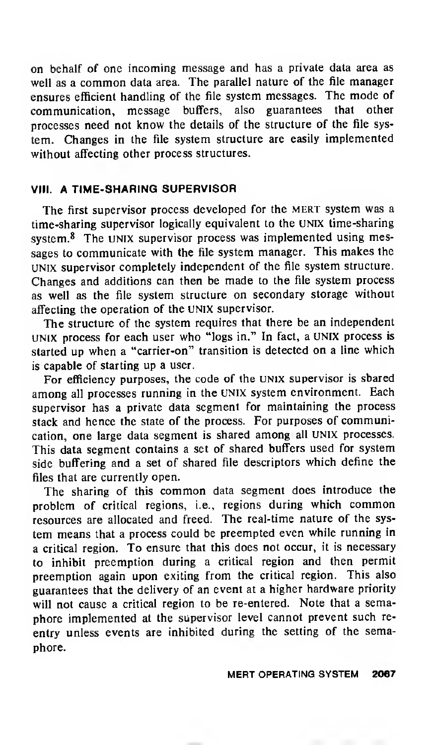on behalf of one incoming message and has <sup>a</sup> private data area as well as <sup>a</sup> common data area. The parallel nature of the file manager ensures efficient handling of the file system messages. The mode of communication, message buffers, also guarantees that other processes need not know the details of the structure of the file system. Changes in the file system structure are easily implemented without affecting other process structures.

# VIII. A TIME-SHARING SUPERVISOR

The first supervisor process developed for the MERT system was a time-sharing supervisor logically equivalent to the UNIX time-sharing system.<sup>8</sup> The UNIX supervisor process was implemented using messages to communicate with the file system manager. This makes the UNIX supervisor completely independent of the file system structure. Changes and additions can then be made to the file system process as well as the file system structure on secondary storage without affecting the operation of the UNIX supervisor.

The structure of the system requires that there be an independent UNIX process for each user who "logs in." In fact, <sup>a</sup> UNIX process is started up when a "carrier-on" transition is detected on <sup>a</sup> line which is capable of starting up a user.

For efficiency purposes, the code of the UNIX supervisor is shared among all processes running in the UNIX system environment. Each supervisor has <sup>a</sup> private data segment for maintaining the process stack and hence the state of the process. For purposes of communication, one large data segment is shared among all UNIX processes. This data segment contains <sup>a</sup> set of shared buffers used for system side buffering and <sup>a</sup> set of shared file descriptors which define the files that are currently open.

The sharing of this common data segment does introduce the problem of critical regions, i.e., regions during which common resources are allocated and freed. The real-time nature of the system means that a process could be preempted even while running in a critical region. To ensure that this does not occur, it is necessary to inhibit preemption during <sup>a</sup> critical region and then permit preemption again upon exiting from the critical region. This also guarantees that the delivery of an event at <sup>a</sup> higher hardware priority will not cause <sup>a</sup> critical region to be re-entered. Note that a semaphore implemented at the supervisor level cannot prevent such reentry unless events are inhibited during the setting of the semaphore.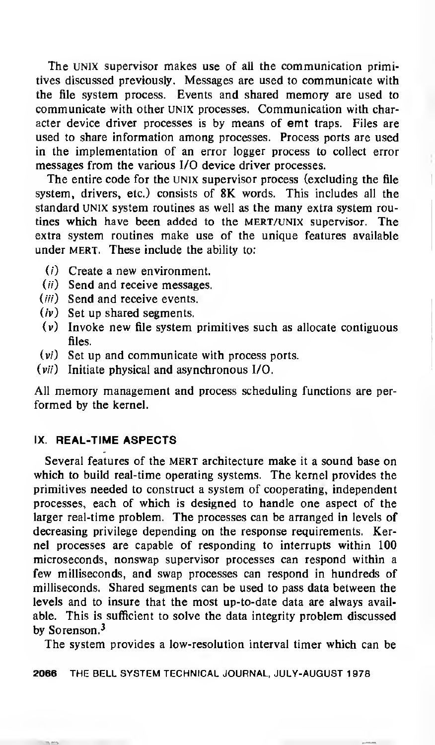The UNIX supervisor makes use of all the communication primitives discussed previously. Messages are used to communicate with the file system process. Events and shared memory are used to communicate with other UNIX processes. Communication with character device driver processes is by means of emt traps. Files are used to share information among processes. Process ports are used in the implementation of an error logger process to collect error messages from the various I/O device driver processes.

The entire code for the UNIX supervisor process (excluding the file system, drivers, etc.) consists of 8K words. This includes all the standard UNIX system routines as well as the many extra system routines which have been added to the mert/unix supervisor. The extra system routines make use of the unique features available under MERT. These include the ability to:

- (/) Create a new environment.
- (*ii*) Send and receive messages.
- (*iii*) Send and receive events,
- $(iv)$  Set up shared segments,
- (v) Invoke new file system primitives such as allocate contiguous files,
- $(v_i)$  Set up and communicate with process ports.
- $(vii)$  Initiate physical and asynchronous I/O.

All memory management and process scheduling functions are performed by the kernel.

# IX. REAL-TIME ASPECTS

Several features of the MERT architecture make it <sup>a</sup> sound base on which to build real-time operating systems. The kernel provides the primitives needed to construct a system of cooperating, independent processes, each of which is designed to handle one aspect of the larger real-time problem. The processes can be arranged in levels of decreasing privilege depending on the response requirements. Kernel processes are capable of responding to interrupts within 100 microseconds, nonswap supervisor processes can respond within a few milliseconds, and swap processes can respond in hundreds of milliseconds. Shared segments can be used to pass data between the levels and to insure that the most up-to-date data are always available. This is sufficient to solve the data integrity problem discussed by Sorenson.<sup>3</sup>

The system provides a low-resolution interval timer which can be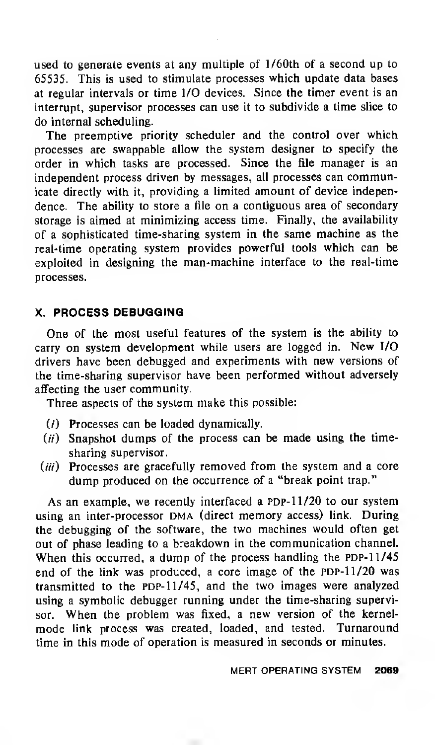used to generate events at any multiple of l/60th of <sup>a</sup> second up to 65535. This is used to stimulate processes which update data bases at regular intervals or time I/O devices. Since the timer event is an interrupt, supervisor processes can use it to subdivide a time slice to do internal scheduling.

The preemptive priority scheduler and the control over which processes are swappable allow the system designer to specify the order in which tasks are processed. Since the file manager is an independent process driven by messages, all processes can communicate directly with it, providing a limited amount of device independence. The ability to store a file on a contiguous area of secondary storage is aimed at minimizing access time. Finally, the availability of a sophisticated time-sharing system in the same machine as the real-time operating system provides powerful tools which can be exploited in designing the man-machine interface to the real-time processes.

# X. PROCESS DEBUGGING

One of the most useful features of the system is the ability to carry on system development while users are logged in. New I/O drivers have been debugged and experiments with new versions of the time-sharing supervisor have been performed without adversely affecting the user community.

Three aspects of the system make this possible:

- (/') Processes can be loaded dynamically.
- $(ii)$  Snapshot dumps of the process can be made using the timesharing supervisor.
- $(iii)$  Processes are gracefully removed from the system and a core dump produced on the occurrence of a "break point trap."

As an example, we recently interfaced a PDP-11/20 to our system using an inter-processor DMA (direct memory access) link. During the debugging of the software, the two machines would often get out of phase leading to a breakdown in the communication channel. When this occurred, a dump of the process handling the PDP-11/45 end of the link was produced, <sup>a</sup> core image of the PDP-11/20 was transmitted to the PDP- $11/45$ , and the two images were analyzed using a symbolic debugger running under the time-sharing supervisor. When the problem was fixed, <sup>a</sup> new version of the kernelmode link process was created, loaded, and tested. Turnaround time in this mode of operation is measured in seconds or minutes.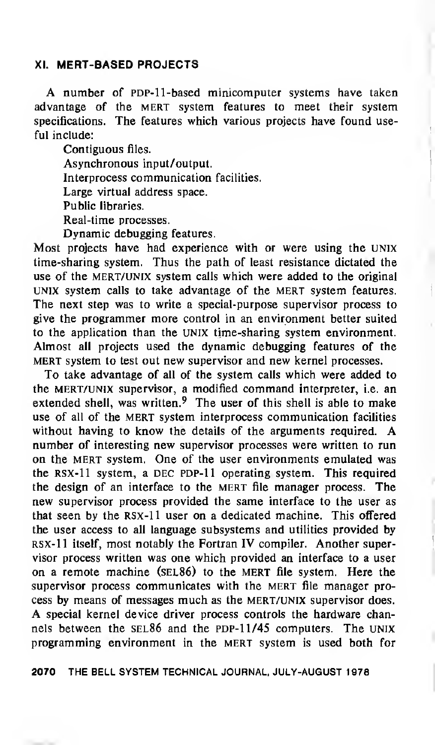# XI. MERT-BASED PROJECTS

A number of PDP-11-based minicomputer systems have taken advantage of the MERT system features to meet their system specifications. The features which various projects have found useful include:

Contiguous files. Asynchronous input/output. Interprocess communication facilities. Large virtual address space. Public libraries. Real-time processes.

Dynamic debugging features. Most projects have had experience with or were using the UNIX

time-sharing system. Thus the path of least resistance dictated the use of the MERT/UNIX system calls which were added to the original UNIX system calls to take advantage of the mert system features. The next step was to write a special-purpose supervisor process to give the programmer more control in an environment better suited to the application than the UNIX time-sharing system environment. Almost all projects used the dynamic debugging features of the MERT system to test out new supervisor and new kernel processes.

To take advantage of all of the system calls which were added to the mert/unix supervisor, a modified command interpreter, i.e. an extended shell, was written. $9$  The user of this shell is able to make use of all of the MERT system interprocess communication facilities without having to know the details of the arguments required. A number of interesting new supervisor processes were written to run on the MERT system. One of the user environments emulated was the RSX-11 system, a DEC PDP-11 operating system. This required the design of an interface to the MERT file manager process. The new supervisor process provided the same interface to the user as that seen by the rsx-11 user on a dedicated machine. This offered the user access to all language subsystems and utilities provided by rsx-11 itself, most notably the Fortran IV compiler. Another supervisor process written was one which provided an interface to a user on a remote machine (sel86) to the mert file system. Here the supervisor process communicates with the MERT file manager process by means of messages much as the mert/unix supervisor does. A special kernel device driver process controls the hardware channels between the  $SEL86$  and the PDP-11/45 computers. The UNIX programming environment in the mert system is used both for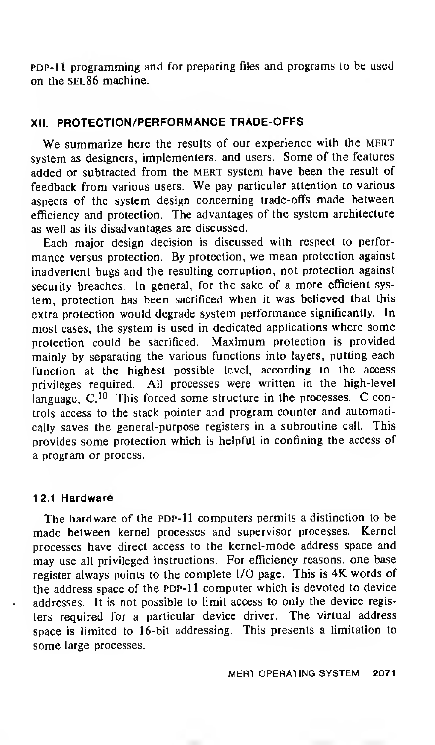PDP-11 programming and for preparing files and programs to be used on the sel86 machine.

# XII. PROTECTION/PERFORMANCE TRADE-OFFS

We summarize here the results of our experience with the MERT system as designers, implementers, and users. Some of the features added or subtracted from the mert system have been the result of feedback from various users. We pay particular attention to various aspects of the system design concerning trade-offs made between efficiency and protection. The advantages of the system architecture as well as its disadvantages are discussed.

Each major design decision is discussed with respect to performance versus protection. By protection, we mean protection against inadvertent bugs and the resulting corruption, not protection against security breaches. In general, for the sake of a more efficient system, protection has been sacrificed when it was believed that this extra protection would degrade system performance significantly. In most cases, the system is used in dedicated applications where some protection could be sacrificed. Maximum protection is provided mainly by separating the various functions into layers, putting each function at the highest possible level, according to the access privileges required. All processes were written in the high-level language,  $C^{10}$  This forced some structure in the processes.  $C$  controls access to the stack pointer and program counter and automatically saves the general-purpose registers in a subroutine call. This provides some protection which is helpful in confining the access of a program or process.

## 12.1 Hardware

The hardware of the PDP-11 computers permits a distinction to be made between kernel processes and supervisor processes. Kernel processes have direct access to the kernel-mode address space and may use all privileged instructions. For efficiency reasons, one base register always points to the complete I/O page. This is 4K words of the address space of the PDP-11 computer which is devoted to device addresses. It is not possible to limit access to only the device registers required for <sup>a</sup> particular device driver. The virtual address space is limited to 16-bit addressing. This presents a limitation to some large processes.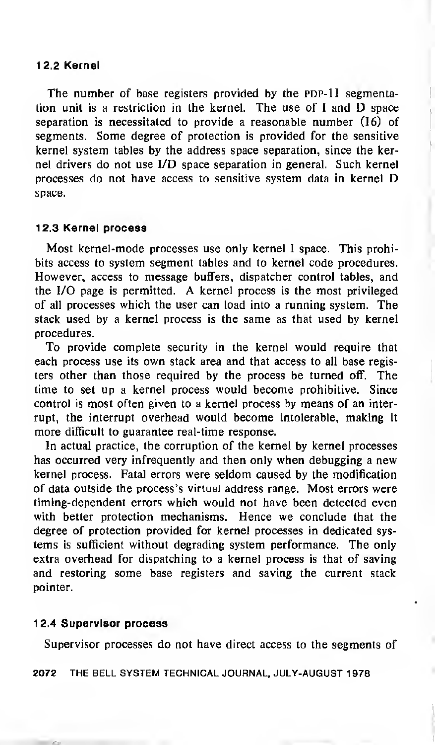## 12.2 Kernel

The number of base registers provided by the PDP-11 segmentation unit is <sup>a</sup> restriction in the kernel. The use of <sup>I</sup> and D space separation is necessitated to provide a reasonable number (16) of segments. Some degree of protection is provided for the sensitive kernel system tables by the address space separation, since the kernel drivers do not use I/D space separation in general. Such kernel processes do not have access to sensitive system data in kernel D space.

# <sup>1</sup> 2.3 Kernel process

Most kernel-mode processes use only kernel <sup>I</sup> space. This prohibits access to system segment tables and to kernel code procedures. However, access to message buffers, dispatcher control tables, and the I/O page is permitted. A kernel process is the most privileged of all processes which the user can load into a running system. The stack used by a kernel process is the same as that used by kernel procedures.

To provide complete security in the kernel would require that each process use its own stack area and that access to all base registers other than those required by the process be turned off. The time to set up a kernel process would become prohibitive. Since control is most often given to a kernel process by means of an interrupt, the interrupt overhead would become intolerable, making it more difficult to guarantee real-time response.

In actual practice, the corruption of the kernel by kernel processes has occurred very infrequently and then only when debugging <sup>a</sup> new kernel process. Fatal errors were seldom caused by the modification of data outside the process's virtual address range. Most errors were timing-dependent errors which would not have been detected even with better protection mechanisms. Hence we conclude that the degree of protection provided for kernel processes in dedicated systems is sufficient without degrading system performance. The only extra overhead for dispatching to a kernel process is that of saving and restoring some base registers and saving the current stack pointer.

## <sup>1</sup> 2.4 Supervisor process

Supervisor processes do not have direct access to the segments of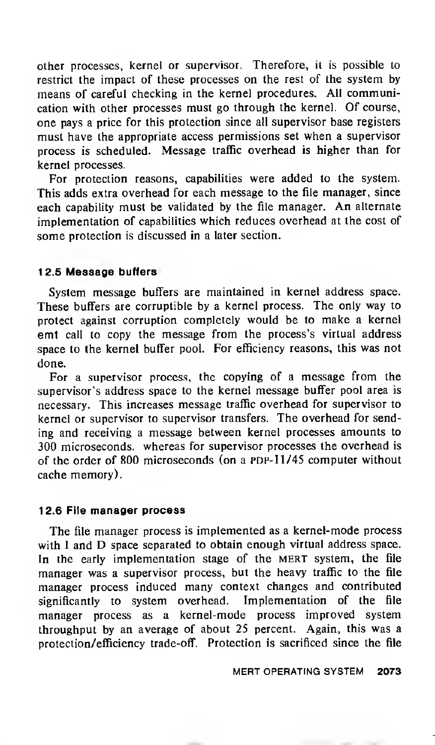other processes, kernel or supervisor. Therefore, it is possible to restrict the impact of these processes on the rest of the system by means of careful checking in the kernel procedures. All communication with other processes must go through the kernel. Of course, one pays a price for this protection since all supervisor base registers must have the appropriate access permissions set when a supervisor process is scheduled. Message traffic overhead is higher than for kernel processes.

For protection reasons, capabilities were added to the system. This adds extra overhead for each message to the file manager, since each capability must be validated by the file manager. An alternate implementation of capabilities which reduces overhead at the cost of some protection is discussed in a later section.

#### <sup>1</sup> 2.5 Message buffers

System message buffers are maintained in kernel address space. These buffers are corruptible by <sup>a</sup> kernel process. The only way to protect against corruption completely would be to make <sup>a</sup> kernel emt call to copy the message from the process's virtual address space to the kernel buffer pool. For efficiency reasons, this was not done.

For a supervisor process, the copying of a message from the supervisor's address space to the kernel message buffer pool area is necessary. This increases message traffic overhead for supervisor to kernel or supervisor to supervisor transfers. The overhead for sending and receiving <sup>a</sup> message between kernel processes amounts to 300 microseconds, whereas for supervisor processes the overhead is of the order of 800 microseconds (on a PDP-11/45 computer without cache memory).

#### 12.6 File manager process

The file manager process is implemented as <sup>a</sup> kernel-mode process with I and D space separated to obtain enough virtual address space. In the early implementation stage of the MERT system, the file manager was <sup>a</sup> supervisor process, but the heavy traffic to the file manager process induced many context changes and contributed significantly to system overhead. Implementation of the file manager process as <sup>a</sup> kernel-mode process improved system throughput by an average of about 25 percent. Again, this was a protection/efficiency trade-off. Protection is sacrificed since the file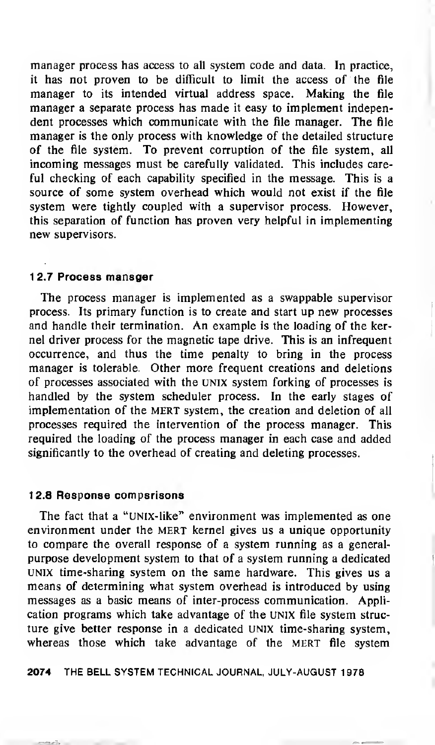manager process has access to all system code and data. In practice, it has not proven to be difficult to limit the access of the file manager to its intended virtual address space. Making the file manager <sup>a</sup> separate process has made it easy to implement independent processes which communicate with the file manager. The file manager is the only process with knowledge of the detailed structure of the file system. To prevent corruption of the file system, all incoming messages must be carefully validated. This includes careful checking of each capability specified in the message. This is a source of some system overhead which would not exist if the file system were tightly coupled with a supervisor process. However, this separation of function has proven very helpful in implementing new supervisors.

#### <sup>1</sup> 2.7 Process manager

The process manager is implemented as a swappable supervisor process. Its primary function is to create and start up new processes and handle their termination. An example is the loading of the kernel driver process for the magnetic tape drive. This is an infrequent occurrence, and thus the time penalty to bring in the process manager is tolerable. Other more frequent creations and deletions of processes associated with the UNIX system forking of processes is handled by the system scheduler process. In the early stages of implementation of the MERT system, the creation and deletion of all processes required the intervention of the process manager. This required the loading of the process manager in each case and added significantly to the overhead of creating and deleting processes.

#### 12.8 Response comparisons

The fact that <sup>a</sup> "UNIX-like" environment was implemented as one environment under the MERT kernel gives us a unique opportunity to compare the overall response of a system running as a generalpurpose development system to that of a system running a dedicated UNIX time-sharing system on the same hardware. This gives us a means of determining what system overhead is introduced by using messages as a basic means of inter-process communication. Application programs which take advantage of the UNIX file system structure give better response in a dedicated UNIX time-sharing system, whereas those which take advantage of the MERT file system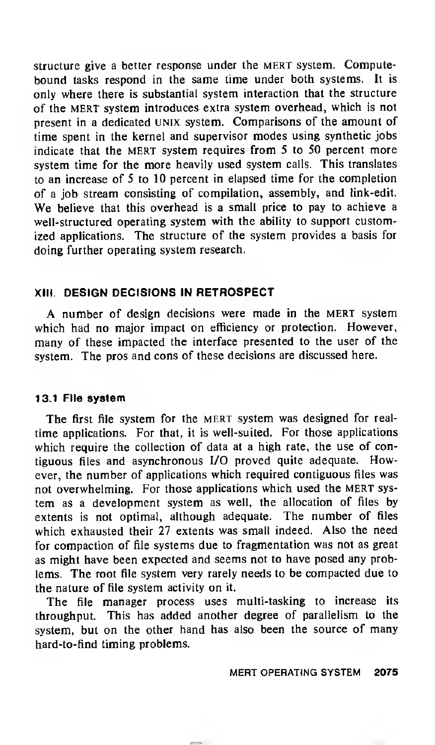structure give a better response under the MERT system. Computebound tasks respond in the same time under both systems. It is only where there is substantial system interaction that the structure of the mert system introduces extra system overhead, which is not present in a dedicated UNIX system. Comparisons of the amount of time spent in the kernel and supervisor modes using synthetic jobs indicate that the MERT system requires from  $5$  to  $50$  percent more system time for the more heavily used system calls. This translates to an increase of <sup>5</sup> to 10 percent in elapsed time for the completion of <sup>a</sup> job stream consisting of compilation, assembly, and link-edit. We believe that this overhead is <sup>a</sup> small price to pay to achieve <sup>a</sup> well-structured operating system with the ability to support customized applications. The structure of the system provides a basis for doing further operating system research.

# XIII. DESIGN DECISIONS IN RETROSPECT

A number of design decisions were made in the mert system which had no major impact on efficiency or protection. However, many of these impacted the interface presented to the user of the system. The pros and cons of these decisions are discussed here.

## 13.1 File system

The first file system for the MERT system was designed for realtime applications. For that, it is well-suited. For those applications which require the collection of data at a high rate, the use of contiguous files and asynchronous I/O proved quite adequate. However, the number of applications which required contiguous files was not overwhelming. For those applications which used the MERT system as a development system as well, the allocation of files by extents is not optimal, although adequate. The number of files which exhausted their 27 extents was small indeed. Also the need for compaction of file systems due to fragmentation was not as great as might have been expected and seems not to have posed any problems. The root file system very rarely needs to be compacted due to the nature of file system activity on it.

The file manager process uses multi-tasking to increase its throughput. This has added another degree of parallelism to the system, but on the other hand has also been the source of many hard-to-find timing problems.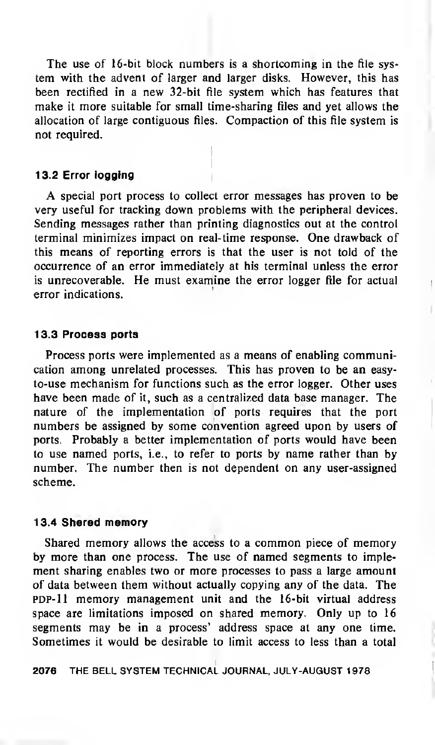The use of 16-bit block numbers is <sup>a</sup> shortcoming in the file system with the advent of larger and larger disks. However, this has been rectified in a new 32-bit file system which has features that make it more suitable for small time-sharing files and yet allows the allocation of large contiguous files. Compaction of this file system is not required.

## 13.2 Error logging

A special port process to collect error messages has proven to be very useful for tracking down problems with the peripheral devices. Sending messages rather than printing diagnostics out at the control terminal minimizes impact on real-time response. One drawback of this means of reporting errors is that the user is not told of the occurrence of an error immediately at his terminal unless the error is unrecoverable. He must examine the error logger file for actual error indications.

#### <sup>1</sup> 3.3 Process ports

Process ports were implemented as a means of enabling communication among unrelated processes. This has proven to be an easyto-use mechanism for functions such as the error logger. Other uses have been made of it, such as a centralized data base manager. The nature of the implementation of ports requires that the port numbers be assigned by some convention agreed upon by users of ports. Probably a better implementation of ports would have been to use named ports, i.e., to refer to ports by name rather than by number. The number then is not dependent on any user-assigned scheme.

#### 13.4 Shared memory

Shared memory allows the access to <sup>a</sup> common piece of memory by more than one process. The use of named segments to implement sharing enables two or more processes to pass a large amount of data between them without actually copying any of the data. The PDP-11 memory management unit and the 16-bit virtual address space are limitations imposed on shared memory. Only up to 16 segments may be in a process' address space at any one time. Sometimes it would be desirable to limit access to less than a total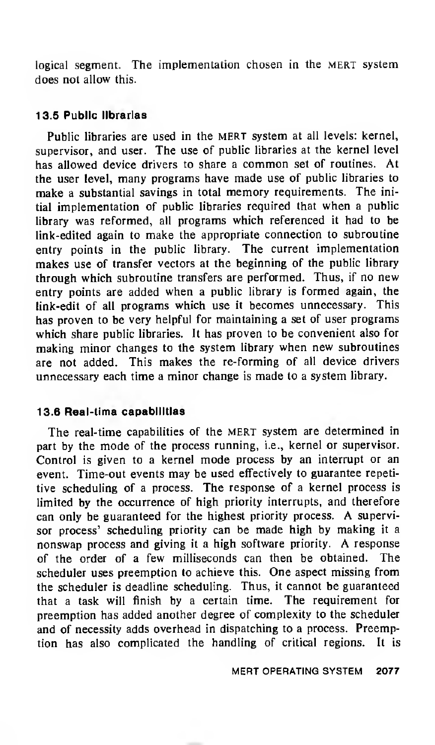logical segment. The implementation chosen in the MERT system does not allow this.

## 13.5 Public libraries

Public libraries are used in the MERT system at all levels: kernel, supervisor, and user. The use of public libraries at the kernel level has allowed device drivers to share <sup>a</sup> common set of routines. At the user level, many programs have made use of public libraries to make <sup>a</sup> substantial savings in total memory requirements. The initial implementation of public libraries required that when <sup>a</sup> public library was reformed, all programs which referenced it had to be link-edited again to make the appropriate connection to subroutine entry points in the public library. The current implementation makes use of transfer vectors at the beginning of the public library through which subroutine transfers are performed. Thus, if no new entry points are added when <sup>a</sup> public library is formed again, the link-edit of all programs which use it becomes unnecessary. This has proven to be very helpful for maintaining <sup>a</sup> set of user programs which share public libraries. It has proven to be convenient also for making minor changes to the system library when new subroutines are not added. This makes the re-forming of all device drivers unnecessary each time <sup>a</sup> minor change is made to <sup>a</sup> system library.

# 13.6 Real-time capabilities

The real-time capabilities of the MERT system are determined in part by the mode of the process running, i.e., kernel or supervisor. Control is given to <sup>a</sup> kernel mode process by an interrupt or an event. Time-out events may be used effectively to guarantee repetitive scheduling of <sup>a</sup> process. The response of <sup>a</sup> kernel process is limited by the occurrence of high priority interrupts, and therefore can only be guaranteed for the highest priority process. A supervisor process' scheduling priority can be made high by making it <sup>a</sup> nonswap process and giving it <sup>a</sup> high software priority. A response of the order of a few milliseconds can then be obtained. The scheduler uses preemption to achieve this. One aspect missing from the scheduler is deadline scheduling. Thus, it cannot be guaranteed that <sup>a</sup> task will finish by <sup>a</sup> certain time. The requirement for preemption has added another degree of complexity to the scheduler and of necessity adds overhead in dispatching to <sup>a</sup> process. Preemption has also complicated the handling of critical regions. It is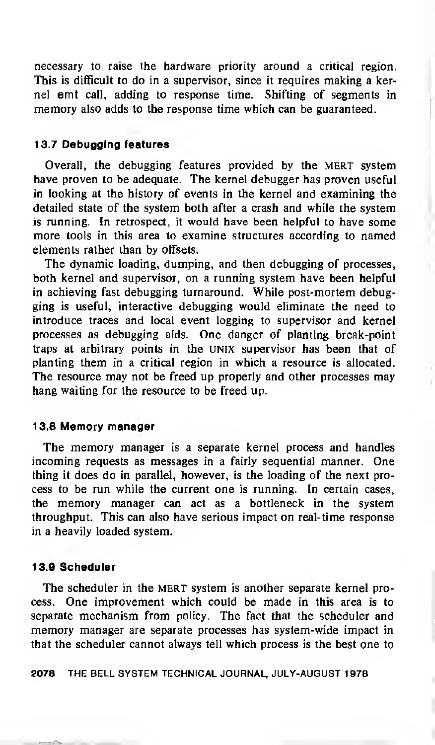necessary to raise the hardware priority around a critical region. This is difficult to do in a supervisor, since it requires making a kernel emt call, adding to response time. Shifting of segments in memory also adds to the response time which can be guaranteed.

#### 13.7 Debugging features

Overall, the debugging features provided by the MERT system have proven to be adequate. The kernel debugger has proven useful in looking at the history of events in the kernel and examining the detailed state of the system both after a crash and while the system is running. In retrospect, it would have been helpful to have some more tools in this area to examine structures according to named elements rather than by offsets.

The dynamic loading, dumping, and then debugging of processes, both kernel and supervisor, on a running system have been helpful in achieving fast debugging turnaround. While post-mortem debugging is useful, interactive debugging would eliminate the need to introduce traces and local event logging to supervisor and kernel processes as debugging aids. One danger of planting break-point traps at arbitrary points in the UNIX supervisor has been that of planting them in a critical region in which a resource is allocated. The resource may not be freed up properly and other processes may hang waiting for the resource to be freed up.

#### 13.8 Memory manager

The memory manager is a separate kernel process and handles incoming requests as messages in <sup>a</sup> fairly sequential manner. One thing it does do in parallel, however, is the loading of the next process to be run while the current one is running. In certain cases, the memory manager can act as a bottleneck in the system throughput. This can also have serious impact on real-time response in a heavily loaded system.

#### 13.9 Scheduler

The scheduler in the MERT system is another separate kernel process. One improvement which could be made in this area is to separate mechanism from policy. The fact that the scheduler and memory manager are separate processes has system-wide impact in that the scheduler cannot always tell which process is the best one to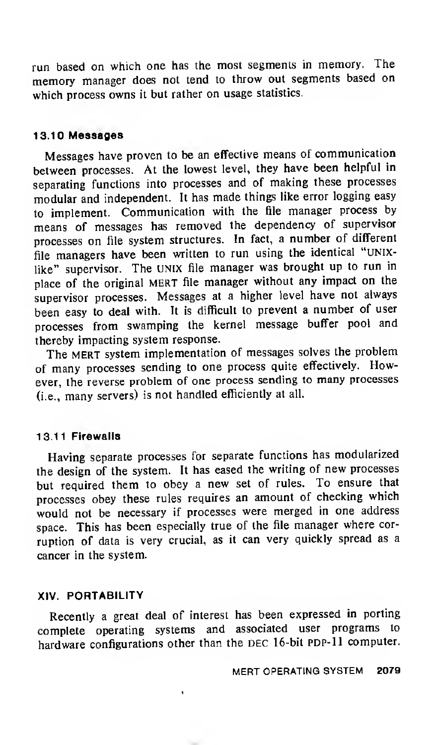run based on which one has the most segments in memory. The memory manager does not tend to throw out segments based on which process owns it but rather on usage statistics.

## 13.10 Messages

Messages have proven to be an effective means of communication between processes. At the lowest level, they have been helpful in separating functions into processes and of making these processes modular and independent. It has made things like error logging easy to implement. Communication with the file manager process by means of messages has removed the dependency of supervisor processes on file system structures. In fact, <sup>a</sup> number of different file managers have been written to run using the identical "unixlike" supervisor. The UNIX file manager was brought up to run in place of the original mert file manager without any impact on the supervisor processes. Messages at <sup>a</sup> higher level have not always been easy to deal with. It is difficult to prevent <sup>a</sup> number of user processes from swamping the kernel message buffer pool and thereby impacting system response.

The MERT system implementation of messages solves the problem of many processes sending to one process quite effectively. However, the reverse problem of one process sending to many processes (i.e., many servers) is not handled efficiently at all.

## 13.11 Firewalls

Having separate processes for separate functions has modularized the design of the system. It has eased the writing of new processes but required them to obey <sup>a</sup> new set of rules. To ensure that processes obey these rules requires an amount of checking which would not be necessary if processes were merged in one address space. This has been especially true of the file manager where corruption of data is very crucial, as it can very quickly spread as <sup>a</sup> cancer in the system.

## XIV. PORTABILITY

Recently <sup>a</sup> great deal of interest has been expressed in porting complete operating systems and associated user programs to hardware configurations other than the DEC 16-bit PDP-11 computer.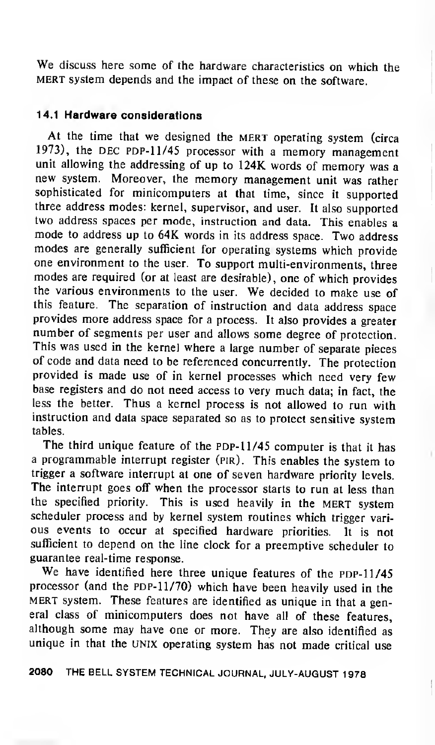We discuss here some of the hardware characteristics on which the MERT system depends and the impact of these on the software.

# 14.1 Hardware considerations

At the time that we designed the MERT operating system (circa 1973), the DEC PDP-11/45 processor with a memory management unit allowing the addressing of up to 124K words of memory was <sup>a</sup> new system. Moreover, the memory management unit was rather sophisticated for minicomputers at that time, since it supported three address modes: kernel, supervisor, and user. It also supported two address spaces per mode, instruction and data. This enables <sup>a</sup> mode to address up to 64K words in its address space. Two address modes are generally sufficient for operating systems which provide one environment to the user. To support multi-environments, three modes are required (or at least are desirable), one of which provides the various environments to the user. We decided to make use of this feature. The separation of instruction and data address space provides more address space for <sup>a</sup> process. It also provides <sup>a</sup> greater number of segments per user and allows some degree of protection. This was used in the kernel where <sup>a</sup> large number of separate pieces of code and data need to be referenced concurrently. The protection provided is made use of in kernel processes which need very few base registers and do not need access to very much data; in fact, the less the better. Thus <sup>a</sup> kernel process is not allowed to run with instruction and data space separated so as to protect sensitive system tables.

The third unique feature of the PDP-11/45 computer is that it has <sup>a</sup> programmable interrupt register (pir). This enables the system to trigger a software interrupt at one of seven hardware priority levels. The interrupt goes off when the processor starts to run at less than the specified priority. This is used heavily in the MERT system scheduler process and by kernel system routines which trigger vari ous events to occur at specified hardware priorities. It is not sufficient to depend on the line clock for <sup>a</sup> preemptive scheduler to guarantee real-time response.

We have identified here three unique features of the PDP-11/45 processor (and the PDP- $11/70$ ) which have been heavily used in the MERT system. These features are identified as unique in that a general class of minicomputers does not have all of these features, although some may have one or more. They are also identified as unique in that the UNIX operating system has not made critical use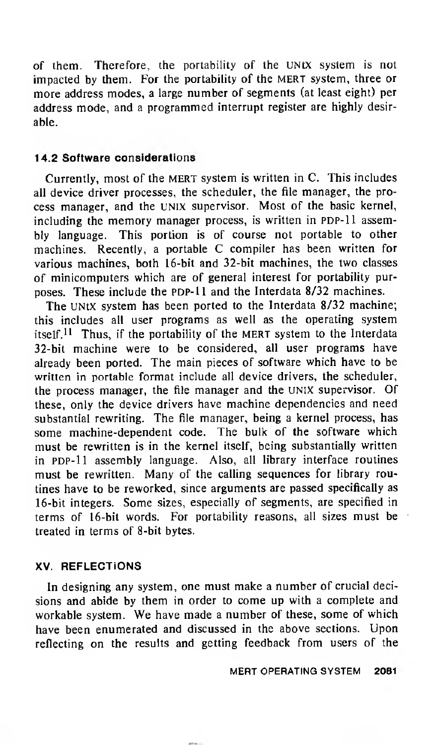of them. Therefore, the portability of the UNIX system is not impacted by them. For the portability of the MERT system, three or more address modes, <sup>a</sup> large number of segments (at least eight) per address mode, and a programmed interrupt register are highly desirable.

# 14.2 Software considerations

Currently, most of the MERT system is written in C. This includes all device driver processes, the scheduler, the file manager, the process manager, and the UNIX supervisor. Most of the basic kernel, including the memory manager process, is written in PDP-11 assembly language. This portion is of course not portable to other machines. Recently, <sup>a</sup> portable C compiler has been written for various machines, both 16-bit and 32-bit machines, the two classes of minicomputers which are of general interest for portability purposes. These include the PDP-11 and the Interdata 8/32 machines.

The UNIX system has been ported to the Interdata 8/32 machine: this includes all user programs as well as the operating system itself.<sup>11</sup> Thus, if the portability of the MERT system to the Interdata 32-bit machine were to be considered, all user programs have already been ported. The main pieces of software which have to be written in portable format include all device drivers, the scheduler, the process manager, the file manager and the UNIX supervisor. Of these, only the device drivers have machine dependencies and need substantial rewriting. The file manager, being a kernel process, has some machine-dependent code. The bulk of the software which must be rewritten is in the kernel itself, being substantially written in PDP-11 assembly language. Also, all library interface routines must be rewritten. Many of the calling sequences for library routines have to be reworked, since arguments are passed specifically as 16-bit integers. Some sizes, especially of segments, are specified in terms of 16-bit words. For portability reasons, all sizes must be treated in terms of 8-bit bytes.

# XV. REFLECTIONS

In designing any system, one must make <sup>a</sup> number of crucial decisions and abide by them in order to come up with <sup>a</sup> complete and workable system. We have made <sup>a</sup> number of these, some of which have been enumerated and discussed in the above sections. Upon reflecting on the results and getting feedback from users of the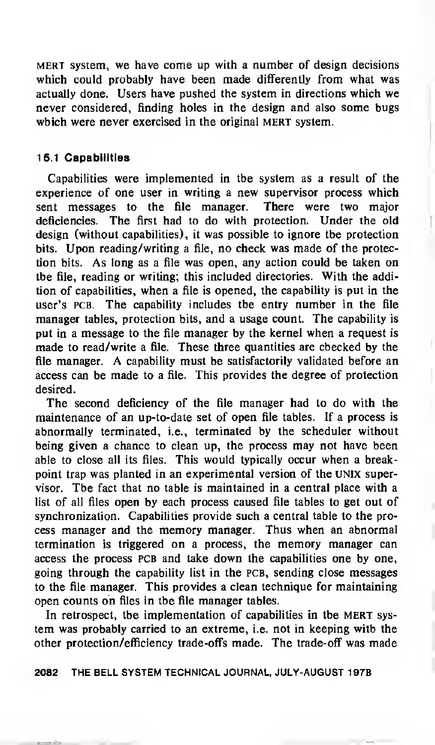mert system, we have come up with <sup>a</sup> number of design decisions which could probably have been made differently from what was actually done. Users have pushed the system in directions which we never considered, finding holes in the design and also some bugs which were never exercised in the original MERT system.

# 15.1 Capabilities

Capabilities were implemented in the system as a result of the experience of one user in writing <sup>a</sup> new supervisor process which sent messages to the file manager. There were two major deficiencies. The first had to do with protection. Under the old design (without capabilities), it was possible to ignore the protection bits. Upon reading/writing <sup>a</sup> file, no check was made of the protection bits. As long as <sup>a</sup> file was open, any action could be taken on the file, reading or writing; this included directories. With the addition of capabilities, when <sup>a</sup> file is opened, the capability is put in the user's PCB. The capability includes the entry number in the file manager tables, protection bits, and a usage count. The capability is put in a message to the file manager by the kernel when a request is made to read/write <sup>a</sup> file. These three quantities are checked by the file manager. A capability must be satisfactorily validated before an access can be made to a file. This provides the degree of protection desired.

The second deficiency of the file manager had to do with the maintenance of an up-to-date set of open file tables. If a process is abnormally terminated, i.e., terminated by the scheduler without being given a chance to clean up, the process may not have been able to close all its files. This would typically occur when <sup>a</sup> breakpoint trap was planted in an experimental version of the UNIX supervisor. The fact that no table is maintained in a central place with a list of all files open by each process caused file tables to get out of synchronization. Capabilities provide such a central table to the process manager and the memory manager. Thus when an abnormal termination is triggered on <sup>a</sup> process, the memory manager can access the process PCB and take down the capabilities one by one, going through the capability list in the pcb, sending close messages to the file manager. This provides a clean technique for maintaining open counts on files in the file manager tables.

In retrospect, the implementation of capabilities in the MERT system was probably carried to an extreme, i.e. not in keeping with the other protection/efficiency trade-offs made. The trade-off was made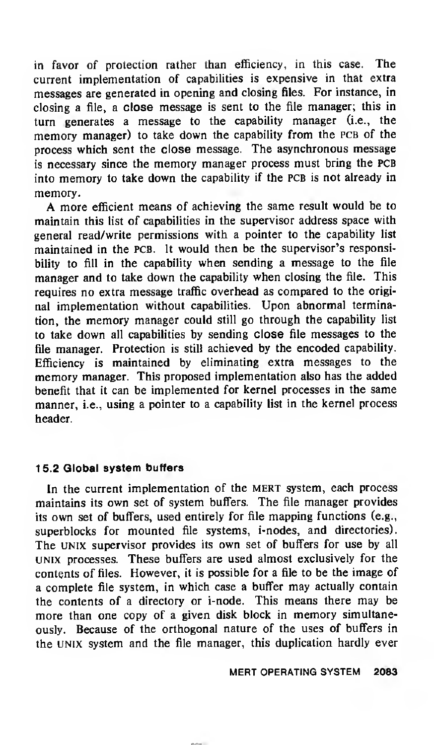in favor of protection rather than efficiency, in this case. The current implementation of capabilities is expensive in that extra messages are generated in opening and closing files. For instance, in closing a file, a close message is sent to the file manager; this in turn generates <sup>a</sup> message to the capability manager (i.e., the memory manager) to take down the capability from the PCB of the process which sent the close message. The asynchronous message is necessary since the memory manager process must bring the PCB into memory to take down the capability if the PCB is not already in memory.

A more efficient means of achieving the same result would be to maintain this list of capabilities in the supervisor address space with general read/write permissions with a pointer to the capability list maintained in the pcb. It would then be the supervisor's responsibility to fill in the capability when sending <sup>a</sup> message to the file manager and to take down the capability when closing the file. This requires no extra message traffic overhead as compared to the original implementation without capabilities. Upon abnormal termination, the memory manager could still go through the capability list to take down all capabilities by sending close file messages to the file manager. Protection is still achieved by the encoded capability. Efficiency is maintained by eliminating extra messages to the memory manager. This proposed implementation also has the added benefit that it can be implemented for kernel processes in the same manner, i.e., using a pointer to a capability list in the kernel process header.

## 15.2 Global system buffers

In the current implementation of the MERT system, each process maintains its own set of system buffers. The file manager provides its own set of buffers, used entirely for file mapping functions (e.g., superblocks for mounted file systems, i-nodes, and directories). The UNIX supervisor provides its own set of buffers for use by all UNIX processes. These buffers are used almost exclusively for the contents of files. However, it is possible for a file to be the image of a complete file system, in which case a buffer may actually contain the contents of <sup>a</sup> directory or i-node. This means there may be more than one copy of <sup>a</sup> given disk block in memory simultaneously. Because of the orthogonal nature of the uses of buffers in the UNIX system and the file manager, this duplication hardly ever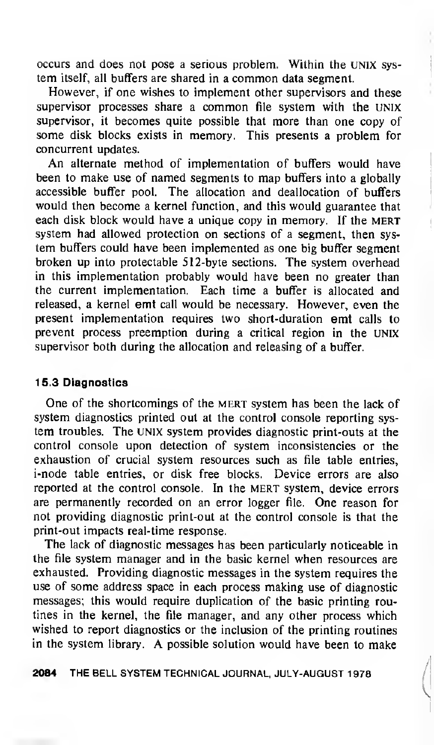occurs and does not pose a serious problem. Within the UNIX sys tem itself, all buffers are shared in <sup>a</sup> common data segment.

However, if one wishes to implement other supervisors and these supervisor processes share <sup>a</sup> common file system with the UNIX supervisor, it becomes quite possible that more than one copy of some disk blocks exists in memory. This presents a problem for concurrent updates.

An alternate method of implementation of buffers would have been to make use of named segments to map buffers into a globally accessible buffer pool. The allocation and deallocation of buffers would then become a kernel function, and this would guarantee that each disk block would have a unique copy in memory. If the MERT system had allowed protection on sections of a segment, then sys tem buffers could have been implemented as one big buffer segment broken up into protectable 512-byte sections. The system overhead in this implementation probably would have been no greater than the current implementation. Each time a buffer is allocated and released, <sup>a</sup> kernel emt call would be necessary. However, even the present implementation requires two short-duration emt calls to prevent process preemption during a critical region in the UNIX supervisor both during the allocation and releasing of a buffer.

# 15.3 Diagnostics

One of the shortcomings of the MERT system has been the lack of system diagnostics printed out at the control console reporting sys tem troubles. The UNIX system provides diagnostic print-outs at the control console upon detection of system inconsistencies or the exhaustion of crucial system resources such as file table entries, i-node table entries, or disk free blocks. Device errors are also reported at the control console. In the MERT system, device errors are permanently recorded on an error logger file. One reason for not providing diagnostic print-out at the control console is that the print-out impacts real-time response.

The lack of diagnostic messages has been particularly noticeable in the file system manager and in the basic kernel when resources are exhausted. Providing diagnostic messages in the system requires the use of some address space in each process making use of diagnostic messages; this would require duplication of the basic printing routines in the kernel, the file manager, and any other process which wished to report diagnostics or the inclusion of the printing routines in the system library. A possible solution would have been to make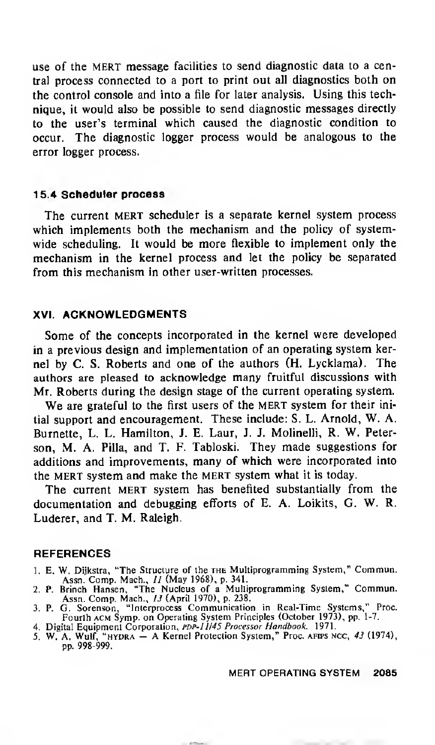use of the MERT message facilities to send diagnostic data to a central process connected to <sup>a</sup> port to print out all diagnostics both on the control console and into a file for later analysis. Using this technique, it would also be possible to send diagnostic messages directly to the user's terminal which caused the diagnostic condition to occur. The diagnostic logger process would be analogous to the error logger process.

#### 15.4 Scheduler process

The current MERT scheduler is a separate kernel system process which implements both the mechanism and the policy of systemwide scheduling. It would be more flexible to implement only the mechanism in the kernel process and let the policy be separated from this mechanism in other user-written processes.

## XVI. ACKNOWLEDGMENTS

Some of the concepts incorporated in the kernel were developed in a previous design and implementation of an operating system kernel by C. S. Roberts and one of the authors (H. Lycklama). The authors are pleased to acknowledge many fruitful discussions with Mr. Roberts during the design stage of the current operating system.

We are grateful to the first users of the MERT system for their initial support and encouragement. These include: S. L. Arnold, W. A. Burnette, L. L. Hamilton, J. E. Laur, J. J. Molinelli, R. W. Peterson, M. A. Pilla, and T. F. Tabloski. They made suggestions for additions and improvements, many of which were incorporated into the MERT system and make the MERT system what it is today.

The current MERT system has benefited substantially from the documentation and debugging efforts of E. A. Loikits, G. W. R. Luderer, and T. M. Raleigh.

#### **REFERENCES**

- 1. E. W. Dijkstra, "The Structure of the the Multiprogramming System," Commun.
- Assn. Comp. Mach., // (May 1968), p. 341. 2. P. Brinch Hansen, "The Nucleus of <sup>a</sup> Multiprogramming System," Commun. Assn. Comp. Mach., 13 (April 1970), p. 238.
- 3. P. G. Sorenson, "Interprocess Communication in Real-Time Systems," Proc. Fourth acm Symp. on Operating System Principles (October 1973), pp. 1-7.
- 4. Digital Equipment Corporation, PDP-11/45 Processor Handbook. 1971.
- 5. W. A. Wulf, "HYDRA A Kernel Protection System," Proc. AFIPS NCC, 43 (1974), pp. 998-999.

MERT OPERATING SYSTEM 2085